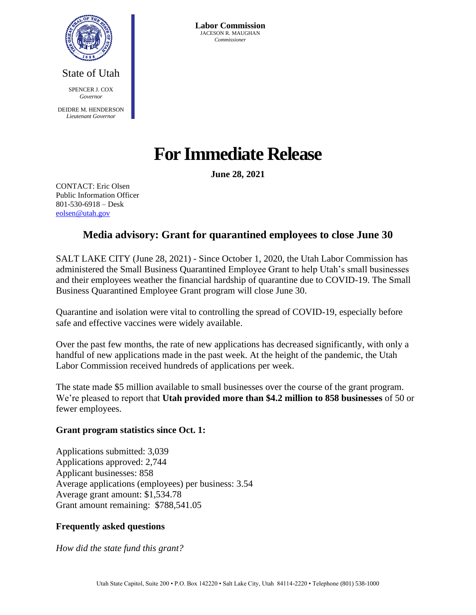

State of Utah SPENCER **I. COX** *Governor* DEIDRE M. HENDERSON *Lieutenant Governor*

**Labor Commission** JACESON R. MAUGHAN *Commissioner*

# **For Immediate Release**

**June 28, 2021**

CONTACT: Eric Olsen Public Information Officer 801-530-6918 – Desk [eolsen@utah.gov](mailto:eolsen@utah.gov)

# **Media advisory: Grant for quarantined employees to close June 30**

SALT LAKE CITY (June 28, 2021) - Since October 1, 2020, the Utah Labor Commission has administered the Small Business Quarantined Employee Grant to help Utah's small businesses and their employees weather the financial hardship of quarantine due to COVID-19. The Small Business Quarantined Employee Grant program will close June 30.

Quarantine and isolation were vital to controlling the spread of COVID-19, especially before safe and effective vaccines were widely available.

Over the past few months, the rate of new applications has decreased significantly, with only a handful of new applications made in the past week. At the height of the pandemic, the Utah Labor Commission received hundreds of applications per week.

The state made \$5 million available to small businesses over the course of the grant program. We're pleased to report that **Utah provided more than \$4.2 million to 858 businesses** of 50 or fewer employees.

## **Grant program statistics since Oct. 1:**

Applications submitted: 3,039 Applications approved: 2,744 Applicant businesses: 858 Average applications (employees) per business: 3.54 Average grant amount: \$1,534.78 Grant amount remaining: \$788,541.05

## **Frequently asked questions**

*How did the state fund this grant?*